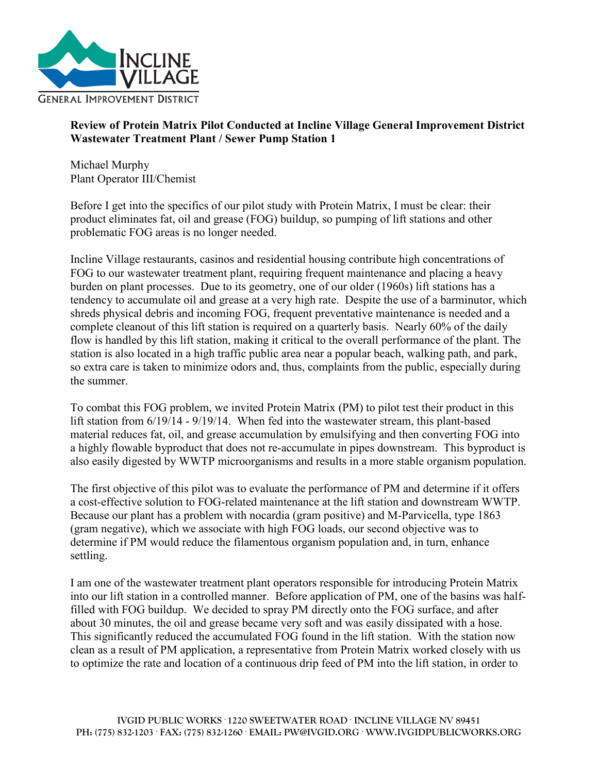

## **Review of Protein Matrix Pilot Conducted at Incline Village General Improvement District Wastewater Treatment Plant / Sewer Pump Station 1**

Michael Murphy Plant Operator III/Chemist

Before I get into the specifics of our pilot study with Protein Matrix, I must be clear: their product eliminates fat, oil and grease (FOG) buildup, so pumping of lift stations and other problematic FOG areas is no longer needed.

Incline Village restaurants, casinos and residential housing contribute high concentrations of FOG to our wastewater treatment plant, requiring frequent maintenance and placing a heavy burden on plant processes. Due to its geometry, one of our older (1960s) lift stations has a tendency to accumulate oil and grease at a very high rate. Despite the use of a barminutor, which shreds physical debris and incoming FOG, frequent preventative maintenance is needed and a complete cleanout of this lift station is required on a quarterly basis. Nearly 60% of the daily flow is handled by this lift station, making it critical to the overall performance of the plant. The station is also located in a high traffic public area near a popular beach, walking path, and park, so extra care is taken to minimize odors and, thus, complaints from the public, especially during the summer.

To combat this FOG problem, we invited Protein Matrix (PM) to pilot test their product in this lift station from 6/19/14 - 9/19/14. When fed into the wastewater stream, this plant-based material reduces fat, oil, and grease accumulation by emulsifying and then converting FOG into a highly flowable byproduct that does not re-accumulate in pipes downstream. This byproduct is also easily digested by WWTP microorganisms and results in a more stable organism population.

The first objective of this pilot was to evaluate the performance of PM and determine if it offers a cost-effective solution to FOG-related maintenance at the lift station and downstream WWTP. Because our plant has a problem with nocardia (gram positive) and M-Parvicella, type 1863 (gram negative), which we associate with high FOG loads, our second objective was to determine if PM would reduce the filamentous organism population and, in turn, enhance settling.

I am one of the wastewater treatment plant operators responsible for introducing Protein Matrix into our lift station in a controlled manner. Before application of PM, one of the basins was halffilled with FOG buildup. We decided to spray PM directly onto the FOG surface, and after about 30 minutes, the oil and grease became very soft and was easily dissipated with a hose. This significantly reduced the accumulated FOG found in the lift station. With the station now clean as a result of PM application, a representative from Protein Matrix worked closely with us to optimize the rate and location of a continuous drip feed of PM into the lift station, in order to